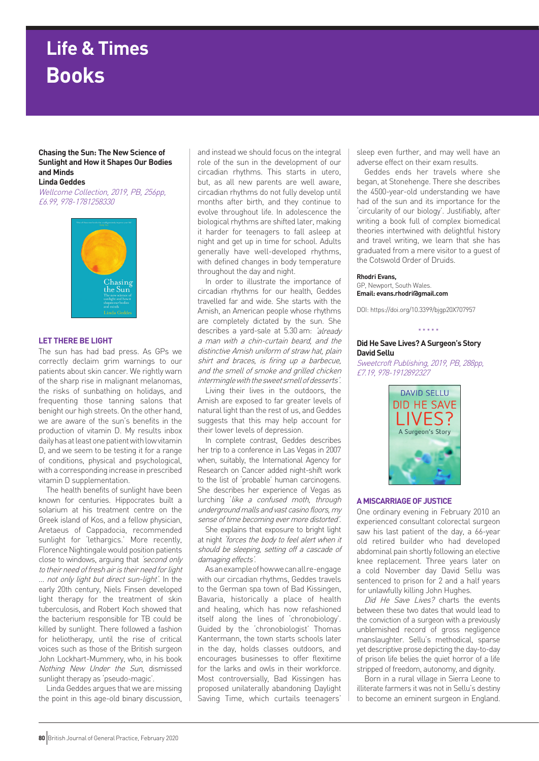# **Life & Times Books**

### **Chasing the Sun: The New Science of Sunlight and How it Shapes Our Bodies and Minds Linda Geddes**

Wellcome Collection, 2019, PB, 256pp, £6.99, 978-1781258330



## **LET THERE BE LIGHT**

The sun has had bad press. As GPs we correctly declaim grim warnings to our patients about skin cancer. We rightly warn of the sharp rise in malignant melanomas, the risks of sunbathing on holidays, and frequenting those tanning salons that benight our high streets. On the other hand, we are aware of the sun's benefits in the production of vitamin D. My results inbox daily has at least one patient with low vitamin D, and we seem to be testing it for a range of conditions, physical and psychological, with a corresponding increase in prescribed vitamin D supplementation.

The health benefits of sunlight have been known for centuries. Hippocrates built a solarium at his treatment centre on the Greek island of Kos, and a fellow physician, Aretaeus of Cappadocia, recommended sunlight for 'lethargics.' More recently, Florence Nightingale would position patients close to windows, arguing that *'second only* to their need of fresh air is their need for light … not only light but direct sun-light'. In the early 20th century, Niels Finsen developed light therapy for the treatment of skin tuberculosis, and Robert Koch showed that the bacterium responsible for TB could be killed by sunlight. There followed a fashion for heliotherapy, until the rise of critical voices such as those of the British surgeon John Lockhart-Mummery, who, in his book Nothing New Under the Sun, dismissed sunlight therapy as 'pseudo-magic'.

Linda Geddes argues that we are missing the point in this age-old binary discussion,

and instead we should focus on the integral role of the sun in the development of our circadian rhythms. This starts in utero, but, as all new parents are well aware, circadian rhythms do not fully develop until months after birth, and they continue to evolve throughout life. In adolescence the biological rhythms are shifted later, making it harder for teenagers to fall asleep at night and get up in time for school. Adults generally have well-developed rhythms, with defined changes in body temperature throughout the day and night.

In order to illustrate the importance of circadian rhythms for our health, Geddes travelled far and wide. She starts with the Amish, an American people whose rhythms are completely dictated by the sun. She describes a yard-sale at 5.30 am: *'already* a man with a chin-curtain beard, and the distinctive Amish uniform of straw hat, plain shirt and braces, is firing up a barbecue, and the smell of smoke and grilled chicken intermingle with the sweet smell of desserts'.

Living their lives in the outdoors, the Amish are exposed to far greater levels of natural light than the rest of us, and Geddes suggests that this may help account for their lower levels of depression.

In complete contrast, Geddes describes her trip to a conference in Las Vegas in 2007 when, suitably, the International Agency for Research on Cancer added night-shift work to the list of 'probable' human carcinogens. She describes her experience of Vegas as lurching 'like a confused moth, through underground malls and vast casino floors, my sense of time becoming ever more distorted'.

She explains that exposure to bright light at night 'forces the body to feel alert when it should be sleeping, setting off a cascade of damaging effects'.

As an example of how we can all re-engage with our circadian rhythms, Geddes travels to the German spa town of Bad Kissingen, Bavaria, historically a place of health and healing, which has now refashioned itself along the lines of 'chronobiology'. Guided by the 'chronobiologist' Thomas Kantermann, the town starts schools later in the day, holds classes outdoors, and encourages businesses to offer flexitime for the larks and owls in their workforce. Most controversially, Bad Kissingen has proposed unilaterally abandoning Daylight Saving Time, which curtails teenagers'

sleep even further, and may well have an adverse effect on their exam results.

Geddes ends her travels where she began, at Stonehenge. There she describes the 4500-year-old understanding we have had of the sun and its importance for the 'circularity of our biology'. Justifiably, after writing a book full of complex biomedical theories intertwined with delightful history and travel writing, we learn that she has graduated from a mere visitor to a guest of the Cotswold Order of Druids.

# **Rhodri Evans,**

GP, Newport, South Wales. **Email: evans.rhodri@gmail.com**

DOI: https://doi.org/10.3399/bjgp20X707957

\* \* \* \* \*

### **Did He Save Lives? A Surgeon's Story David Sellu**

Sweetcroft Publishing, 2019, PB, 288pp, £7.19, 978-1912892327



## **A MISCARRIAGE OF JUSTICE**

One ordinary evening in February 2010 an experienced consultant colorectal surgeon saw his last patient of the day, a 66-year old retired builder who had developed abdominal pain shortly following an elective knee replacement. Three years later on a cold November day David Sellu was sentenced to prison for 2 and a half years for unlawfully killing John Hughes.

Did He Save Lives? charts the events between these two dates that would lead to the conviction of a surgeon with a previously unblemished record of gross negligence manslaughter. Sellu's methodical, sparse yet descriptive prose depicting the day-to-day of prison life belies the quiet horror of a life stripped of freedom, autonomy, and dignity.

Born in a rural village in Sierra Leone to illiterate farmers it was not in Sellu's destiny to become an eminent surgeon in England.